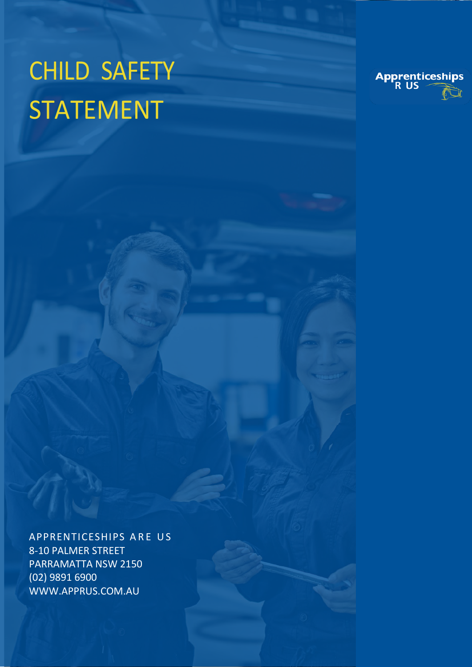## CHILD SAFETY STATEMENT



APPRENTICESHIPS ARE US 8-10 PALMER STREET PARRAMATTA NSW 2150 (02) 9891 6900 WWW.APPRUS.COM.AU